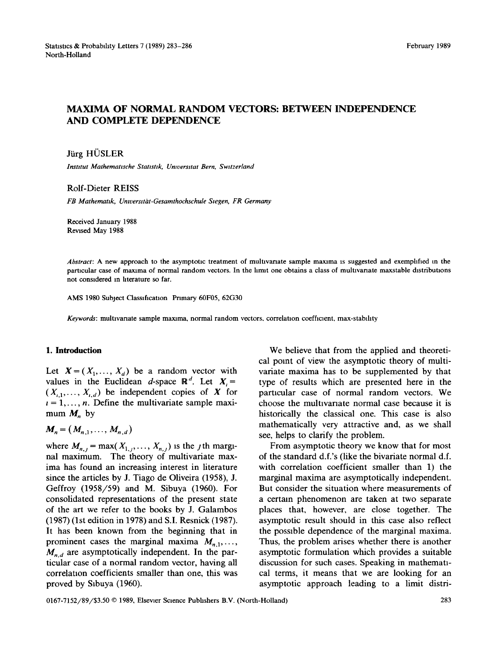# MAXIMA OF NORMAL RANDOM VECTORS: BETWEEN INDEPENDENCE AND COMPLETE DEPENDENCE

## Jürg HÜSLER

*lnstltut Mathemattsche Stattsttk, Umversttat Bern, Swttzerland* 

#### Rolf-Dieter REISS

 $FB$  Mathematik, Universität-Gesamthochschule Siegen, FR Germany

Received January 1988 Revised May 1988

*Abstract:* A new approach to the asymptotic treatment of multivariate sample maxima is suggested and exemphfied m the particular case of maxima of normal random vectors. In the limit one obtains a class of multivariate maxstable distributions not considered m hterature so far.

AMS 1980 Subject Classification Primary 60F05, 62G30

*Keywords:* multivariate sample maxima, normal random vectors, correlation coefficient, max-stability

### **1. Introduction**

Let  $X = (X_1, \ldots, X_d)$  be a random vector with values in the Euclidean d-space  $\mathbb{R}^d$ . Let  $X_i =$  $(X_{i,1},\ldots,X_{i,d})$  be independent copies of X for  $t = 1, \ldots, n$ . Define the multivariate sample maximum  $M<sub>n</sub>$  by

 $M_n = (M_{n,1}, \ldots, M_{n,d})$ 

where  $M_{n,j} = \max(X_{1,j}, \ldots, X_{n,j})$  is the *j*th marginal maximum. The theory of multivariate maxima has found an increasing interest in literature since the articles by J. Tiago de Oliveira (1958), J. Geffroy (1958/59) and M. Sibuya (1950). For consolidated representations of the present state of the art we refer to the books by J. Galambos (1987) (lst edition in 1978) and S.I. Resnick (1987). It has been known from the beginning that in prominent cases the marginal maxima  $M_{n,1}, \ldots$ ,  $M_{n,d}$  are asymptotically independent. In the particular case of a normal random vector, having all correlation coefficients smaller than one, this was proved by Sibuya (1960).

We believe that from the applied and theoretical point of view the asymptotic theory of multivariate maxima has to be supplemented by that type of results which are presented here in the particular case of normal random vectors. We choose the multivariate normal case because it is historically the classical one. This case is also mathematically very attractive and, as we shall see, helps to clarify the problem.

From asymptotic theory we know that for most of the standard d.f.'s (like the bivariate normal d.f. with correlation coefficient smaller than 1) the marginal maxima are asymptotically independent. But consider the situation where measurements of a certain phenomenon are taken at two separate places that, however, are close together. The asymptotic result should in this case also reflect the possible dependence of the marginal maxima. Thus, the problem arises whether there is another asymptotic formulation which provides a suitable discussion for such cases. Speaking in mathematical terms, it means that we are looking for an asymptotic approach leading to a limit distri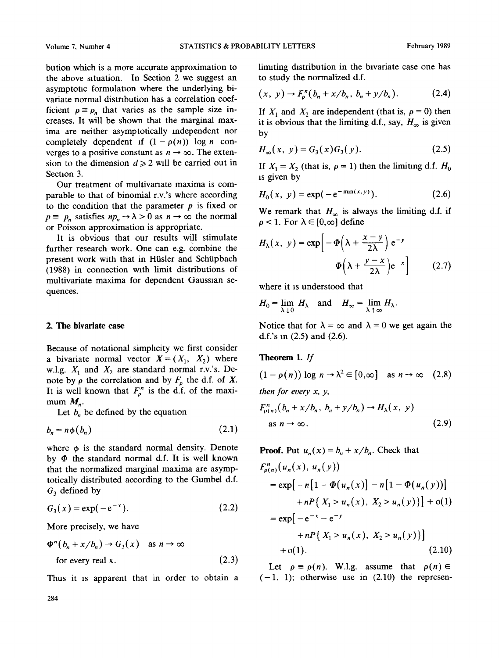bution which is a more accurate approximation to the above sxtuation. In Section 2 we suggest an asymptotic formulation where the underlying bivariate normal distribution has a correlation coefficient  $\rho \equiv \rho_n$  that varies as the sample size increases. It will be shown that the marginal maxima are neither asymptotically independent nor completely dependent if  $(1 - \rho(n))$  log *n* converges to a positive constant as  $n \to \infty$ . The extension to the dimension  $d \ge 2$  will be carried out in Section 3.

Our treatment of multivariate maxima is comparable to that of binomial r.v.'s where according to the condition that the parameter  $p$  is fixed or  $p \equiv p_n$  satisfies  $np_n \rightarrow \lambda > 0$  as  $n \rightarrow \infty$  the normal or Poisson approximation is appropriate.

It is obvious that our results will stimulate further research work. One can e.g. combine the present work with that in Hüsler and Schüpbach (1988) in connection with limit distributions of multivariate maxima for dependent Gaussian sequences.

#### **2. The bivariate case**

Because of notational simphcity we first consider a bivariate normal vector  $X = (X_1, X_2)$  where w.l.g.  $X_1$  and  $X_2$  are standard normal r.v.'s. Denote by  $\rho$  the correlation and by  $F_{\rho}$  the d.f. of X. It is well known that  $F_p^n$  is the d.f. of the maximum  $M_n$ .

Let  $b_n$  be defined by the equation

$$
b_n = n\phi(b_n) \tag{2.1}
$$

where  $\phi$  is the standard normal density. Denote by  $\Phi$  the standard normal d.f. It is well known that the normalized marginal maxima are asymptotically distributed according to the Gumbel d.f.  $G_3$  defined by

$$
G_3(x) = \exp(-e^{-x}).
$$
 (2.2)

More precisely, we have

$$
\Phi^{n}(b_{n} + x/b_{n}) \to G_{3}(x) \quad \text{as } n \to \infty
$$
  
for every real x. (2.3)

Thus it is apparent that in order to obtain a

limiting distribution in the bivariate case one has to study the normalized **d.f.** 

$$
(x, y) \to F_{\rho}^{n}(b_{n} + x/b_{n}, b_{n} + y/b_{n}). \tag{2.4}
$$

If  $X_1$  and  $X_2$  are independent (that is,  $\rho = 0$ ) then it is obvious that the limiting d.f., say,  $H_{\infty}$  is given by

$$
H_{\infty}(x, y) = G_3(x)G_3(y). \tag{2.5}
$$

If  $X_1 = X_2$  (that is,  $\rho = 1$ ) then the limiting d.f.  $H_0$ is given by

$$
H_0(x, y) = \exp(-e^{-\min(x, y)}).
$$
 (2.6)

We remark that  $H_{\infty}$  is always the limiting d.f. if  $\rho$  < 1. For  $\lambda \in [0,\infty]$  define

$$
H_{\lambda}(x, y) = \exp\left[-\Phi\left(\lambda + \frac{x - y}{2\lambda}\right) e^{-y}\right] - \Phi\left(\lambda + \frac{y - x}{2\lambda}\right) e^{-x}
$$
 (2.7)

where it is understood that

$$
H_0 = \lim_{\lambda \downarrow 0} H_\lambda \quad \text{and} \quad H_\infty = \lim_{\lambda \uparrow \infty} H_\lambda.
$$

Notice that for  $\lambda = \infty$  and  $\lambda = 0$  we get again the d.f.'s m (2.5) and (2.5).

#### **Theorem** 1. *If*

$$
(1 - \rho(n)) \log n \to \lambda^2 \in [0, \infty] \text{ as } n \to \infty \quad (2.8)
$$
  
then for every x, y,  

$$
F_{\rho(n)}^n(b_n + x/b_n, b_n + y/b_n) \to H_{\lambda}(x, y)
$$
  
as  $n \to \infty$ . (2.9)

**Proof.** Put  $u_n(x) = b_n + x/b_n$ . Check that

$$
F_{\rho(n)}^n(u_n(x), u_n(y))
$$
  
= exp[-n[1 -  $\Phi(u_n(x)] - n[1 - \Phi(u_n(y))]$   
+ nP { $X_1 > u_n(x), X_2 > u_n(y)$ }] + o(1)  
= exp[-e<sup>-x</sup> - e<sup>-y</sup>  
+ nP { $X_1 > u_n(x), X_2 > u_n(y)$ }]  
+ o(1). (2.10)

Let  $\rho \equiv \rho(n)$ . W.l.g. assume that  $\rho(n) \in$  $(-1, 1)$ ; otherwise use in  $(2.10)$  the represen-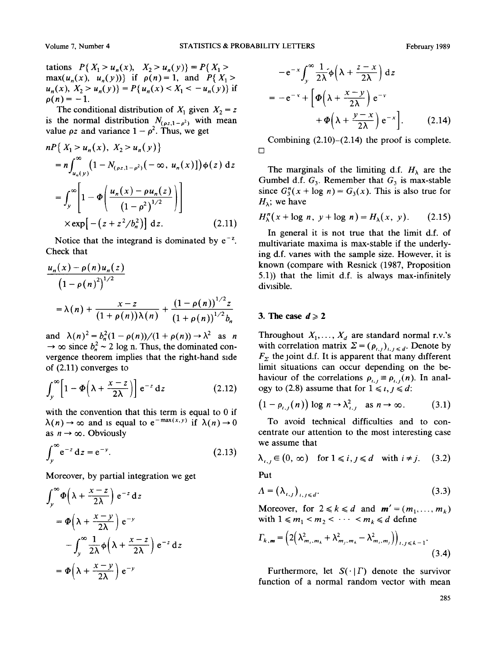tations  $P\{X_1 > u_n(x), X_2 > u_n(y)\} = P\{X_1 > u_n(y)\}$ max( $u_n(x)$ ,  $u_n(y)$ )} if  $\rho(n) = 1$ , and  $P\{X_1 >$  $u_n(x)$ ,  $X_2 > u_n(y)$ } =  $P\{u_n(x) < X_1 < -u_n(y)\}$  if  $\rho(n) = -1.$ 

The conditional distribution of  $X_1$  given  $X_2 = z$ is the normal distribution  $N_{(\rho z,1-\rho^2)}$  with mean value  $\rho z$  and variance  $1 - \rho^2$ . Thus, we get

$$
nP\{X_1 > u_n(x), X_2 > u_n(y)\}\
$$
  
=  $n \int_{u_n(y)}^{\infty} (1 - N_{(\rho z, 1 - \rho^2)}(-\infty, u_n(x)]) \phi(z) dz$   
=  $\int_{y}^{\infty} \left[1 - \Phi\left(\frac{u_n(x) - \rho u_n(z)}{(1 - \rho^2)^{1/2}}\right)\right]$   
×  $\exp\left[-(z + z^2/b_n^2)\right] dz.$  (2.11)

Notice that the integrand is dominated by  $e^{-z}$ . Check that

$$
\frac{u_n(x) - \rho(n)u_n(z)}{\left(1 - \rho(n)^2\right)^{1/2}}
$$
  
=  $\lambda(n) + \frac{x - z}{\left(1 + \rho(n)\right)\lambda(n)} + \frac{\left(1 - \rho(n)\right)^{1/2}z}{\left(1 + \rho(n)\right)^{1/2}b_n}$ 

and  $\lambda(n)^2 = b_n^2(1 - \rho(n))/(1 + \rho(n)) \rightarrow \lambda^2$  as n  $\rightarrow \infty$  since  $b_n^2 \sim 2$  log n. Thus, the dominated convergence theorem implies that the right-hand side of (2.11) converges to

$$
\int_{y}^{\infty} \left[1 - \Phi\left(\lambda + \frac{x - z}{2\lambda}\right)\right] e^{-z} dz \tag{2.12}
$$

with the convention that this term is equal to 0 if  $\lambda(n) \rightarrow \infty$  and is equal to  $e^{-\max(x,y)}$  if  $\lambda(n) \rightarrow 0$ as  $n \to \infty$ . Obviously

$$
\int_{y}^{\infty} e^{-z} dz = e^{-y}.
$$
 (2.13)

Moreover, by partial integration we get

$$
\int_{y}^{\infty} \Phi\left(\lambda + \frac{x - z}{2\lambda}\right) e^{-z} dz
$$
  
=  $\Phi\left(\lambda + \frac{x - y}{2\lambda}\right) e^{-y}$   

$$
- \int_{y}^{\infty} \frac{1}{2\lambda} \Phi\left(\lambda + \frac{x - z}{2\lambda}\right) e^{-z} dz
$$
  
=  $\Phi\left(\lambda + \frac{x - y}{2\lambda}\right) e^{-y}$ 

$$
-e^{-x} \int_{y}^{\infty} \frac{1}{2\lambda} \phi \left( \lambda + \frac{z - x}{2\lambda} \right) dz
$$
  
= 
$$
-e^{-x} + \left[ \phi \left( \lambda + \frac{x - y}{2\lambda} \right) e^{-y} + \phi \left( \lambda + \frac{y - x}{2\lambda} \right) e^{-x} \right].
$$
 (2.14)

 $\Box$ Combining  $(2.10)$ - $(2.14)$  the proof is complete.

The marginals of the limiting d.f.  $H_{\lambda}$  are the Gumbel d.f.  $G_3$ . Remember that  $G_3$  is max-stable since  $G_3^n(x + \log n) = G_3(x)$ . This is also true for  $H_{\lambda}$ ; we have

$$
H_{\lambda}^{n}(x+\log n, y+\log n) = H_{\lambda}(x, y). \qquad (2.15)
$$

In general it is not true that the limit d.f. of multivariate maxima is max-stable if the underlying d.f. vanes with the sample size. However, it is known (compare with Resnick (1987, Proposition 5.1)) that the limit d.f. is always max-infinitely divasible.

#### **3. The case**  $d \ge 2$

Throughout  $X_1, \ldots, X_d$  are standard normal r.v.'s with correlation matrix  $\Sigma = (\rho_{i,j})_{i,j \leq d}$ . Denote by  $F<sub>x</sub>$  the joint d.f. It is apparent that many different limit situations can occur depending on the behaviour of the correlations  $\rho_{i,j} \equiv \rho_{i,j}(n)$ . In analogy to (2.8) assume that for  $1 \le i, j \le d$ :

$$
(1 - \rho_{i,j}(n)) \log n \to \lambda_{i,j}^2 \text{ as } n \to \infty. \tag{3.1}
$$

To avoid technical difficulties and to concentrate our attention to the most interesting case we assume that

$$
\lambda_{i,j} \in (0, \infty) \quad \text{for } 1 \le i, j \le d \quad \text{with } i \ne j. \tag{3.2}
$$

Put

$$
\Lambda = \left(\lambda_{i,j}\right)_{i,j \leq d}.\tag{3.3}
$$

Moreover, for  $2 \le k \le d$  and  $m'=(m_1, \ldots, m_k)$ with  $1 \le m_1 < m_2 < \cdots < m_k \le d$  define

$$
\Gamma_{k,m} = \left(2\left(\lambda_{m_i,m_k}^2 + \lambda_{m_j,m_k}^2 - \lambda_{m_i,m_j}^2\right)\right)_{i,j \leq k-1}.
$$
\n(3.4)

Furthermore, let  $S(\cdot | \Gamma)$  denote the survivor function of a normal random vector with mean